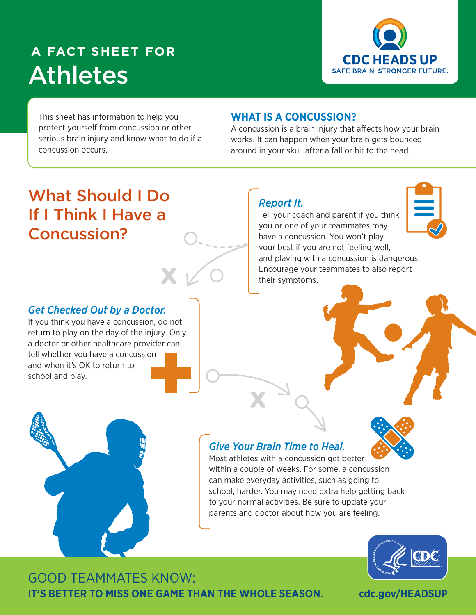# **A FACT SHEET FOR** Athletes



This sheet has information to help you protect yourself from concussion or other serious brain injury and know what to do if a concussion occurs.

#### **WHAT IS A CONCUSSION?**

A concussion is a brain injury that affects how your brain works. It can happen when your brain gets bounced around in your skull after a fall or hit to the head.

### *Report It.*

their symptoms.

Tell your coach and parent if you think you or one of your teammates may have a concussion. You won't play your best if you are not feeling well, and playing with a concussion is dangerous.

Encourage your teammates to also report



# What Should I Do If I Think I Have a Concussion?

*Get Checked Out by a Doctor.* 

If you think you have a concussion, do not return to play on the day of the injury. Only a doctor or other healthcare provider can tell whether you have a concussion and when it's OK to return to school and play.

### *Give Your Brain Time to Heal.*



Most athletes with a concussion get better within a couple of weeks. For some, a concussion can make everyday activities, such as going to school, harder. You may need extra help getting back to your normal activities. Be sure to update your parents and doctor about how you are feeling.



GOOD TEAMMATES KNOW: **IT'S BETTER TO MISS ONE GAME THAN THE WHOLE SEASON.**

**cdc.gov/HEADSUP**